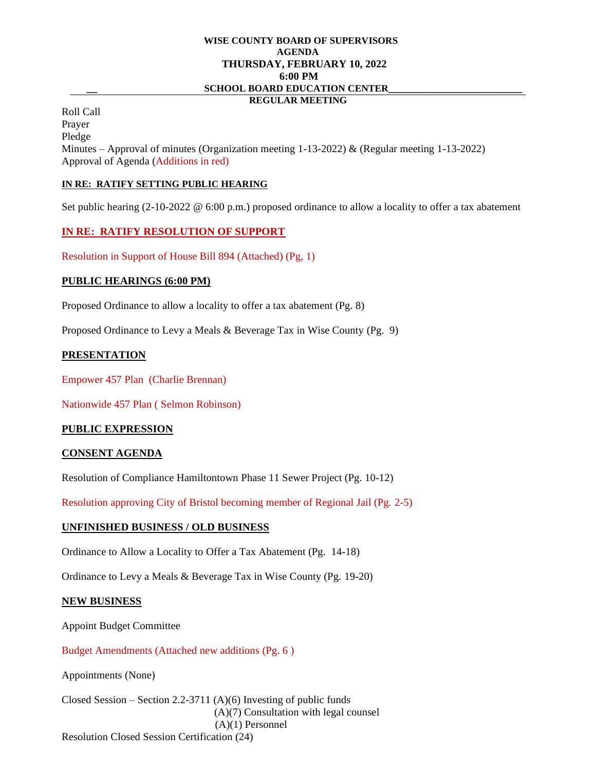# **WISE COUNTY BOARD OF SUPERVISORS AGENDA THURSDAY, FEBRUARY 10, 2022 6:00 PM \_\_ SCHOOL BOARD EDUCATION CENTER\_\_\_\_\_\_\_\_\_\_\_\_\_\_\_\_\_\_\_\_\_\_\_\_\_**

#### **REGULAR MEETING**

Roll Call Prayer Pledge Minutes – Approval of minutes (Organization meeting  $1-13-2022$ ) & (Regular meeting  $1-13-2022$ ) Approval of Agenda (Additions in red)

## **IN RE: RATIFY SETTING PUBLIC HEARING**

Set public hearing (2-10-2022 @ 6:00 p.m.) proposed ordinance to allow a locality to offer a tax abatement

## **IN RE: RATIFY RESOLUTION OF SUPPORT**

Resolution in Support of House Bill 894 (Attached) (Pg, 1)

## **PUBLIC HEARINGS (6:00 PM)**

Proposed Ordinance to allow a locality to offer a tax abatement (Pg. 8)

Proposed Ordinance to Levy a Meals & Beverage Tax in Wise County (Pg. 9)

## **PRESENTATION**

Empower 457 Plan (Charlie Brennan)

Nationwide 457 Plan ( Selmon Robinson)

# **PUBLIC EXPRESSION**

# **CONSENT AGENDA**

Resolution of Compliance Hamiltontown Phase 11 Sewer Project (Pg. 10-12)

Resolution approving City of Bristol becoming member of Regional Jail (Pg. 2-5)

#### **UNFINISHED BUSINESS / OLD BUSINESS**

Ordinance to Allow a Locality to Offer a Tax Abatement (Pg. 14-18)

Ordinance to Levy a Meals & Beverage Tax in Wise County (Pg. 19-20)

#### **NEW BUSINESS**

Appoint Budget Committee

Budget Amendments (Attached new additions (Pg. 6 )

Appointments (None)

Closed Session – Section 2.2-3711 (A)(6) Investing of public funds (A)(7) Consultation with legal counsel (A)(1) Personnel Resolution Closed Session Certification (24)